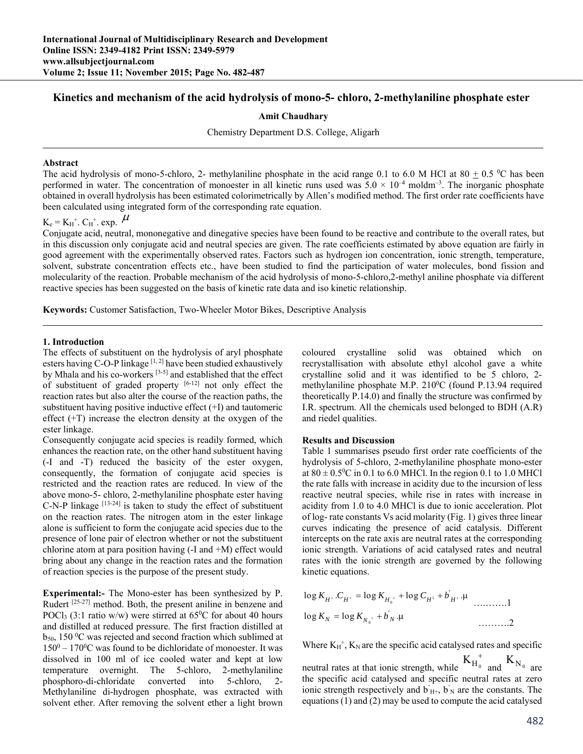# **Kinetics and mechanism of the acid hydrolysis of mono-5- chloro, 2-methylaniline phosphate ester**

### **Amit Chaudhary**

Chemistry Department D.S. College, Aligarh

#### **Abstract**

The acid hydrolysis of mono-5-chloro, 2- methylaniline phosphate in the acid range 0.1 to 6.0 M HCl at  $80 \pm 0.5$  °C has been performed in water. The concentration of monoester in all kinetic runs used was  $5.0 \times 10^{-4}$  moldm<sup>-3</sup>. The inorganic phosphate obtained in overall hydrolysis has been estimated colorimetrically by Allen's modified method. The first order rate coefficients have been calculated using integrated form of the corresponding rate equation.

# $K_e = K_H^+$ .  $C_H^+$ . exp.  $\mu$

Conjugate acid, neutral, mononegative and dinegative species have been found to be reactive and contribute to the overall rates, but in this discussion only conjugate acid and neutral species are given. The rate coefficients estimated by above equation are fairly in good agreement with the experimentally observed rates. Factors such as hydrogen ion concentration, ionic strength, temperature, solvent, substrate concentration effects etc., have been studied to find the participation of water molecules, bond fission and molecularity of the reaction. Probable mechanism of the acid hydrolysis of mono-5-chloro,2-methyl aniline phosphate via different reactive species has been suggested on the basis of kinetic rate data and iso kinetic relationship.

**Keywords:** Customer Satisfaction, Two-Wheeler Motor Bikes, Descriptive Analysis

#### **1. Introduction**

The effects of substituent on the hydrolysis of aryl phosphate esters having  $C$ -O-P linkage  $[1, 2]$  have been studied exhaustively by Mhala and his co-workers [3-5] and established that the effect of substituent of graded property [6-12] not only effect the reaction rates but also alter the course of the reaction paths, the substituent having positive inductive effect (+I) and tautomeric effect (+T) increase the electron density at the oxygen of the ester linkage.

Consequently conjugate acid species is readily formed, which enhances the reaction rate, on the other hand substituent having (-I and -T) reduced the basicity of the ester oxygen, consequently, the formation of conjugate acid species is restricted and the reaction rates are reduced. In view of the above mono-5- chloro, 2-methylaniline phosphate ester having C-N-P linkage [13-24] is taken to study the effect of substituent on the reaction rates. The nitrogen atom in the ester linkage alone is sufficient to form the conjugate acid species due to the presence of lone pair of electron whether or not the substituent chlorine atom at para position having  $(-I \text{ and } +M)$  effect would bring about any change in the reaction rates and the formation of reaction species is the purpose of the present study.

**Experimental:-** The Mono-ester has been synthesized by P. Rudert [25-27] method. Both, the present aniline in benzene and POCl<sub>3</sub> (3:1 ratio w/w) were stirred at  $65^{\circ}$ C for about 40 hours and distilled at reduced pressure. The first fraction distilled at  $b_{50}$ , 150  $\rm{^0C}$  was rejected and second fraction which sublimed at  $150^0 - 170^0$ C was found to be dichloridate of monoester. It was dissolved in 100 ml of ice cooled water and kept at low temperature overnight. The 5-chloro, 2-methylaniline phosphoro-di-chloridate converted into 5-chloro, 2- Methylaniline di-hydrogen phosphate, was extracted with solvent ether. After removing the solvent ether a light brown

coloured crystalline solid was obtained which on recrystallisation with absolute ethyl alcohol gave a white crystalline solid and it was identified to be 5 chloro, 2 methylaniline phosphate M.P. 210<sup>0</sup>C (found P.13.94 required theoretically P.14.0) and finally the structure was confirmed by I.R. spectrum. All the chemicals used belonged to BDH (A.R) and riedel qualities.

# **Results and Discussion**

Table 1 summarises pseudo first order rate coefficients of the hydrolysis of 5-chloro, 2-methylaniline phosphate mono-ester at  $80 \pm 0.5^{\circ}$ C in 0.1 to 6.0 MHCl. In the region 0.1 to 1.0 MHCl the rate falls with increase in acidity due to the incursion of less reactive neutral species, while rise in rates with increase in acidity from 1.0 to 4.0 MHCl is due to ionic acceleration. Plot of log- rate constants Vs acid molarity (Fig. 1) gives three linear curves indicating the presence of acid catalysis. Different intercepts on the rate axis are neutral rates at the corresponding ionic strength. Variations of acid catalysed rates and neutral rates with the ionic strength are governed by the following kinetic equations.

$$
\log K_{H^+}.C_{H^+} = \log K_{H_0^+} + \log C_{H^1} + b_{H^+} \dots
$$
  

$$
\log K_N = \log K_{N_0^+} + b_N \dots
$$

Where  $K_H^+$ ,  $K_N$  are the specific acid catalysed rates and specific

neutral rates at that ionic strength, while  $K_{H_0}^+$  and  $K_{N_0}$  are the specific acid catalysed and specific neutral rates at zero ionic strength respectively and  $\vec{b}_{H+}$ ,  $\vec{b}_{N}$  are the constants. The equations (1) and (2) may be used to compute the acid catalysed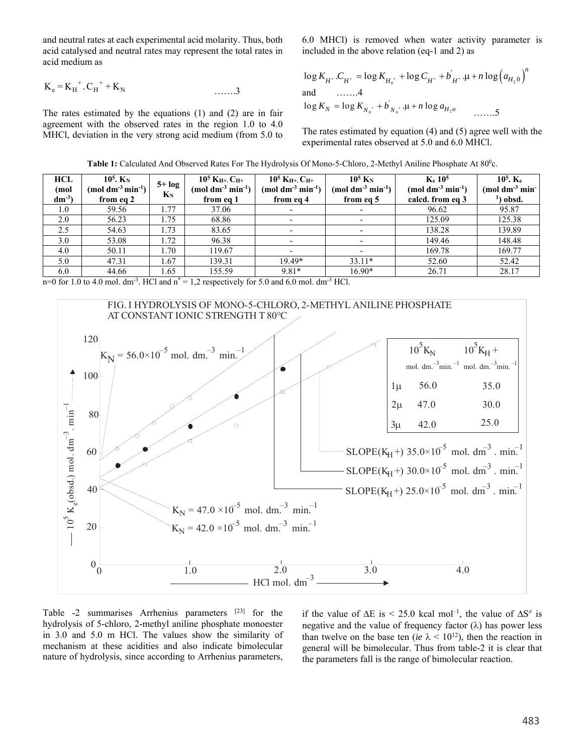and neutral rates at each experimental acid molarity. Thus, both acid catalysed and neutral rates may represent the total rates in acid medium as

$$
K_e = K_H^+ \cdot C_H^+ + K_N
$$
 ......3

The rates estimated by the equations (1) and (2) are in fair agreement with the observed rates in the region 1.0 to 4.0 MHCl, deviation in the very strong acid medium (from 5.0 to 6.0 MHCl) is removed when water activity parameter is included in the above relation (eq-1 and 2) as

$$
\log K_{H^+}.C_{H^+} = \log K_{H_0^+} + \log C_{H^+} + b'_{H^+} \cdot \mu + n \log (a_{H_2 0})^n
$$
  
and   

$$
\dots \dots 4
$$
  

$$
\log K_N = \log K_{N_0^+} + b'_{N_0^+} \cdot \mu + n \log a_{H_2 0}
$$

The rates estimated by equation (4) and (5) agree well with the experimental rates observed at 5.0 and 6.0 MHCl.

| <b>HCL</b> | $10^5$ . $K_N$                          |                  | $10^5$ K <sub>H<sup>+</sup></sub> . C <sub>H<sup>+</sup></sub> | $10^5$ K <sub>H<sup>+</sup></sub> . C <sub>H<sup>+</sup></sub> | $10^5$ K <sub>N</sub>                     | K <sub>e</sub> 10 <sup>5</sup>           | $10^5$ . Ke                               |
|------------|-----------------------------------------|------------------|----------------------------------------------------------------|----------------------------------------------------------------|-------------------------------------------|------------------------------------------|-------------------------------------------|
| (mol       | $(mod \text{ }dm^{-3}\text{ min}^{-1})$ | $5+log$<br>$K_N$ | $(mod \text{ }dm^{3} \text{ }min^{-1})$                        | $(mod \text{ }dm^{-3} \text{ }min^{-1})$                       | (mol dm <sup>-3</sup> min <sup>-1</sup> ) | $(mod \text{ }dm^{-3} \text{ }min^{-1})$ | $(mod \text{ } dm^{-3} \text{ } min^{-1}$ |
| $dm^{-3}$  | from eq 2                               |                  | from eq 1                                                      | from eq 4                                                      | from eq 5                                 | calcd. from eq 3                         | ') obsd.                                  |
| 1.0        | 59.56                                   | 1.77             | 37.06                                                          | $\overline{\phantom{0}}$                                       |                                           | 96.62                                    | 95.87                                     |
| 2.0        | 56.23                                   | 1.75             | 68.86                                                          | ۰                                                              |                                           | 125.09                                   | 125.38                                    |
| 2.5        | 54.63                                   | 1.73             | 83.65                                                          |                                                                |                                           | 138.28                                   | 139.89                                    |
| 3.0        | 53.08                                   | 1.72             | 96.38                                                          |                                                                |                                           | 149.46                                   | 148.48                                    |
| 4.0        | 50.11                                   | 1.70             | 119.67                                                         |                                                                |                                           | 169.78                                   | 169.77                                    |
| 5.0        | 47.31                                   | 1.67             | 139.31                                                         | 19.49*                                                         | $33.11*$                                  | 52.60                                    | 52.42                                     |
| 6.0        | 44.66                                   | 1.65             | 155.59                                                         | $9.81*$                                                        | 16.90*                                    | 26.71                                    | 28.17                                     |

Table 1: Calculated And Observed Rates For The Hydrolysis Of Mono-5-Chloro, 2-Methyl Aniline Phosphate At 80<sup>0</sup>c.

n=0 for 1.0 to 4.0 mol. dm<sup>-3</sup>. HCl and  $n^* = 1.2$  respectively for 5.0 and 6.0 mol. dm<sup>-3</sup> HCl.



Table -2 summarises Arrhenius parameters [23] for the hydrolysis of 5-chloro, 2-methyl aniline phosphate monoester in 3.0 and 5.0 m HCl. The values show the similarity of mechanism at these acidities and also indicate bimolecular nature of hydrolysis, since according to Arrhenius parameters,

if the value of  $\Delta E$  is < 25.0 kcal mol<sup>-1</sup>, the value of  $\Delta S^{\neq}$  is negative and the value of frequency factor  $(\lambda)$  has power less than twelve on the base ten (*ie*  $\lambda$  < 10<sup>12</sup>), then the reaction in general will be bimolecular. Thus from table-2 it is clear that the parameters fall is the range of bimolecular reaction.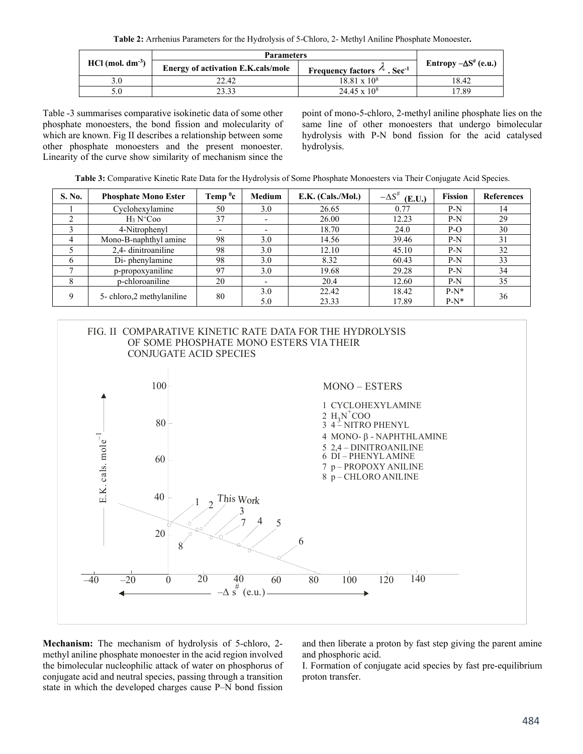**Table 2:** Arrhenius Parameters for the Hydrolysis of 5-Chloro, 2- Methyl Aniline Phosphate Monoester**.**

|                                | <b>Parameters</b>                         |                                                 |                                 |  |
|--------------------------------|-------------------------------------------|-------------------------------------------------|---------------------------------|--|
| $HCl$ (mol. dm <sup>-3</sup> ) | <b>Energy of activation E.K.cals/mole</b> | Frequency factors $\Lambda$ . Sec <sup>-1</sup> | Entropy $-\Delta S^{\#}$ (e.u.) |  |
|                                | 22.42                                     | $18.81 \times 10^8$                             | 18.42                           |  |
| 5.0                            | 23.33                                     | $24.45 \times 10^8$                             | 17.89                           |  |

Table -3 summarises comparative isokinetic data of some other phosphate monoesters, the bond fission and molecularity of which are known. Fig II describes a relationship between some other phosphate monoesters and the present monoester. Linearity of the curve show similarity of mechanism since the

point of mono-5-chloro, 2-methyl aniline phosphate lies on the same line of other monoesters that undergo bimolecular hydrolysis with P-N bond fission for the acid catalysed hydrolysis.

**Table 3:** Comparative Kinetic Rate Data for the Hydrolysis of Some Phosphate Monoesters via Their Conjugate Acid Species.

| S. No. | <b>Phosphate Mono Ester</b> | Temp $^0$ c              | Medium                   | $E.K.$ (Cals./Mol.) | $-\Delta S^{\#}$<br>(E.U.) | <b>Fission</b> | <b>References</b> |
|--------|-----------------------------|--------------------------|--------------------------|---------------------|----------------------------|----------------|-------------------|
|        | Cyclohexylamine             | 50                       | 3.0                      | 26.65               | 0.77                       | $P-N$          | 14                |
|        | $H_3 N^+$ Coo               | 37                       | $\overline{\phantom{0}}$ | 26.00               | 12.23                      | $P-N$          | 29                |
|        | 4-Nitrophenyl               | $\overline{\phantom{a}}$ | $\overline{\phantom{0}}$ | 18.70               | 24.0                       | $P-O$          | 30                |
| 4      | Mono-B-naphthyl amine       | 98                       | 3.0                      | 14.56               | 39.46                      | $P-N$          | 31                |
|        | 2,4-dinitroaniline          | 98                       | 3.0                      | 12.10               | 45.10                      | $P-N$          | 32                |
|        | Di-phenylamine              | 98                       | 3.0                      | 8.32                | 60.43                      | $P-N$          | 33                |
|        | p-propoxyaniline            | 97                       | 3.0                      | 19.68               | 29.28                      | $P-N$          | 34                |
| 8      | p-chloroaniline             | 20                       | $\overline{\phantom{0}}$ | 20.4                | 12.60                      | $P-N$          | 35                |
| Q      | 5- chloro, 2 methylaniline  | 80                       | 3.0                      | 22.42               | 18.42                      | $P-N*$         | 36                |
|        |                             |                          | 5.0                      | 23.33               | 17.89                      | $P-N^*$        |                   |



**Mechanism:** The mechanism of hydrolysis of 5-chloro, 2 methyl aniline phosphate monoester in the acid region involved the bimolecular nucleophilic attack of water on phosphorus of conjugate acid and neutral species, passing through a transition state in which the developed charges cause P–N bond fission

and then liberate a proton by fast step giving the parent amine and phosphoric acid.

I. Formation of conjugate acid species by fast pre-equilibrium proton transfer.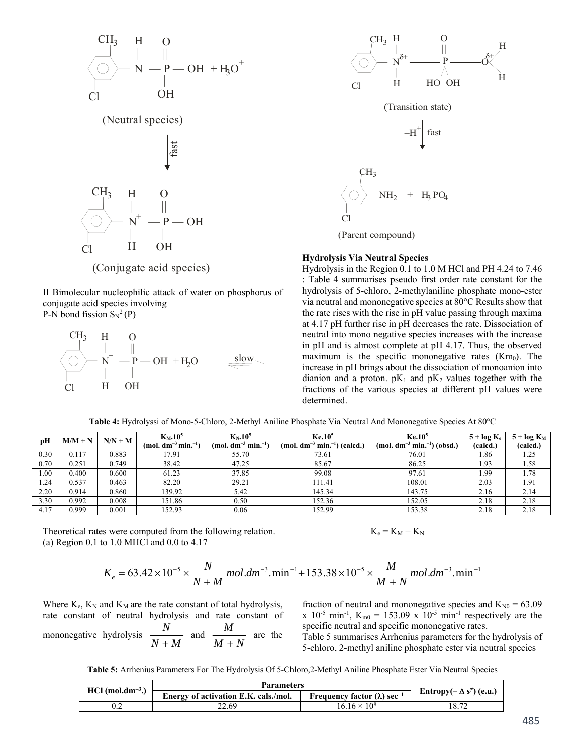

(Neutral species)



(Conjugate acid species)

II Bimolecular nucleophilic attack of water on phosphorus of conjugate acid species involving P-N bond fission  $S_N^2(P)$ 

 $N^+ - P - OH + H_2O$ H O —  $\mathbf{r}$  $CH<sub>3</sub>$  $Cl$ H OH slow



(Parent compound)

#### **Hydrolysis Via Neutral Species**

Hydrolysis in the Region 0.1 to 1.0 M HCl and PH 4.24 to 7.46 : Table 4 summarises pseudo first order rate constant for the hydrolysis of 5-chloro, 2-methylaniline phosphate mono-ester via neutral and mononegative species at 80°C Results show that the rate rises with the rise in pH value passing through maxima at 4.17 pH further rise in pH decreases the rate. Dissociation of neutral into mono negative species increases with the increase in pH and is almost complete at pH 4.17. Thus, the observed maximum is the specific mononegative rates  $(Km<sub>0</sub>)$ . The increase in pH brings about the dissociation of monoanion into dianion and a proton.  $pK_1$  and  $pK_2$  values together with the fractions of the various species at different pH values were determined.

**Table 4:** Hydrolyssi of Mono-5-Chloro, 2-Methyl Aniline Phosphate Via Neutral And Mononegative Species At 80°C

| рH   | $M/M + N$ | $N/N + M$ | $K_M$ , $10^5$<br>$(mod, dm^{-3} min^{-1})$ | $K_N$ , $10^5$<br>$(mol. dm^{-3} min^{-1})$ | Ke.10 <sup>5</sup><br>(mol. $dm^{-3}$ min. <sup>-1</sup> ) (calcd.) | Ke.10 <sup>5</sup><br>$(mod, dm^{-3} min^{-1})$ (obsd.) | $5 + \log K_e$<br>(calcd.) | $5 + \log K_M$<br>(calcd.) |
|------|-----------|-----------|---------------------------------------------|---------------------------------------------|---------------------------------------------------------------------|---------------------------------------------------------|----------------------------|----------------------------|
| 0.30 | 0.117     | 0.883     | 17.91                                       | 55.70                                       | 73.61                                                               | 76.01                                                   | 1.86                       | 1.25                       |
| 0.70 | 0.251     | 0.749     | 38.42                                       | 47.25                                       | 85.67                                                               | 86.25                                                   | 1.93                       | 1.58                       |
| 00.1 | 0.400     | 0.600     | 61.23                                       | 37.85                                       | 99.08                                                               | 97.61                                                   | 1.99                       | 1.78                       |
| 1.24 | 0.537     | 0.463     | 82.20                                       | 29.21                                       | 111.41                                                              | 108.01                                                  | 2.03                       | 1.91                       |
| 2.20 | 0.914     | 0.860     | 139.92                                      | 5.42                                        | 145.34                                                              | 143.75                                                  | 2.16                       | 2.14                       |
| 3.30 | 0.992     | 0.008     | 151.86                                      | 0.50                                        | 152.36                                                              | 152.05                                                  | 2.18                       | 2.18                       |
| 4.17 | 0.999     | 0.001     | 152.93                                      | 0.06                                        | 152.99                                                              | 153.38                                                  | 2.18                       | 2.18                       |

Theoretical rates were computed from the following relation. (a) Region 0.1 to 1.0 MHCl and 0.0 to 4.17

 $K_e = K_M + K_N$ 

$$
K_e = 63.42 \times 10^{-5} \times \frac{N}{N+M} mol. dm^{-3}. min^{-1} + 153.38 \times 10^{-5} \times \frac{M}{M+N} mol. dm^{-3}. min^{-1}
$$

Where  $K_e$ ,  $K_N$  and  $K_M$  are the rate constant of total hydrolysis, rate constant of neutral hydrolysis and rate constant of mononegative hydrolysis  $\frac{N}{N+M}$ *N*  $\frac{M}{+M}$  and  $\frac{M}{M+N}$ *M*  $\frac{1}{+N}$  are the fraction of neutral and mononegative species and  $K_{N0} = 63.09$ x 10<sup>-5</sup> min<sup>-1</sup>, K<sub>m0</sub> = 153.09 x 10<sup>-5</sup> min<sup>-1</sup> respectively are the specific neutral and specific mononegative rates.

Table 5 summarises Arrhenius parameters for the hydrolysis of 5-chloro, 2-methyl aniline phosphate ester via neutral species

**Table 5:** Arrhenius Parameters For The Hydrolysis Of 5-Chloro,2-Methyl Aniline Phosphate Ester Via Neutral Species

|                                | <b>Parameters</b>                    |                                                |                                                            |
|--------------------------------|--------------------------------------|------------------------------------------------|------------------------------------------------------------|
| $HCl$ (mol.dm <sup>-3</sup> .) | Energy of activation E.K. cals./mol. | Frequency factor $(\lambda)$ sec <sup>-1</sup> | Entropy( $-\Delta$ s <sup><math>\neq</math></sup> ) (e.u.) |
|                                | 22.69                                | $16.16 \times 10^8$                            | 18.72                                                      |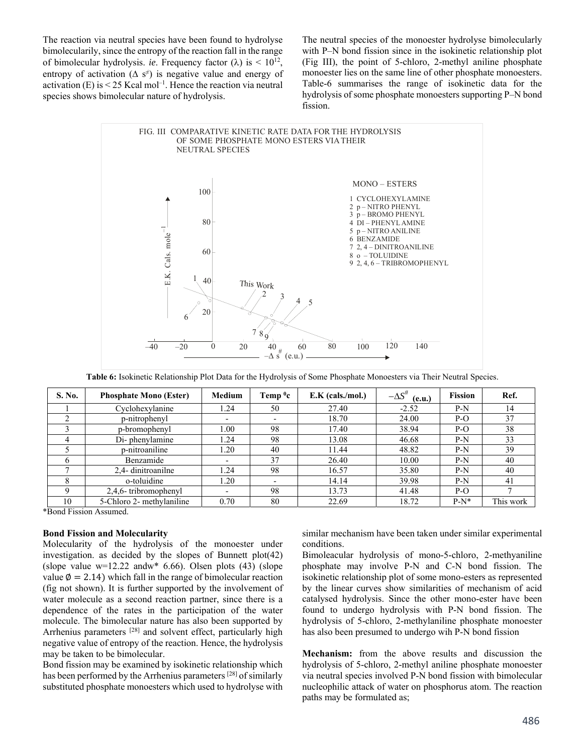The reaction via neutral species have been found to hydrolyse bimolecularily, since the entropy of the reaction fall in the range of bimolecular hydrolysis. *ie*. Frequency factor ( $\lambda$ ) is < 10<sup>12</sup>, entropy of activation ( $\Delta$  s<sup>≠</sup>) is negative value and energy of activation  $(E)$  is  $\leq$  25 Kcal mol<sup>-1</sup>. Hence the reaction via neutral species shows bimolecular nature of hydrolysis.

The neutral species of the monoester hydrolyse bimolecularly with P–N bond fission since in the isokinetic relationship plot (Fig III), the point of 5-chloro, 2-methyl aniline phosphate monoester lies on the same line of other phosphate monoesters. Table-6 summarises the range of isokinetic data for the hydrolysis of some phosphate monoesters supporting P–N bond fission.



**Table 6:** Isokinetic Relationship Plot Data for the Hydrolysis of Some Phosphate Monoesters via Their Neutral Species.

| S. No. | <b>Phosphate Mono (Ester)</b> | Medium | Temp $^0$ c | $E.K$ (cals./mol.) | $-\Delta S^{\#}$<br>(e.u.) | <b>Fission</b> | Ref.      |
|--------|-------------------------------|--------|-------------|--------------------|----------------------------|----------------|-----------|
|        | Cyclohexylanine               | 24     | 50          | 27.40              | $-2.52$                    | $P-N$          | 14        |
|        | p-nitrophenyl                 |        |             | 18.70              | 24.00                      | $P-O$          | 37        |
|        | p-bromophenyl                 | 1.00   | 98          | 17.40              | 38.94                      | $P-O$          | 38        |
|        | Di-phenylamine                | .24    | 98          | 13.08              | 46.68                      | $P-N$          | 33        |
|        | p-nitroaniline                | 1.20   | 40          | 11.44              | 48.82                      | $P-N$          | 39        |
| b.     | Benzamide                     |        | 37          | 26.40              | 10.00                      | $P-N$          | 40        |
|        | 2.4- dinitroanilne            | .24    | 98          | 16.57              | 35.80                      | $P-N$          | 40        |
| 8      | o-toluidine                   | 1.20   |             | 14.14              | 39.98                      | $P-N$          | 41        |
| Q      | 2,4,6-tribromophenyl          |        | 98          | 13.73              | 41.48                      | $P-O$          |           |
| 10     | 5-Chloro 2- methylaniline     | 0.70   | 80          | 22.69              | 18.72                      | $P-N^*$        | This work |

\*Bond Fission Assumed.

# **Bond Fission and Molecularity**

Molecularity of the hydrolysis of the monoester under investigation. as decided by the slopes of Bunnett plot(42) (slope value  $w=12.22$  and  $w*$  6.66). Olsen plots (43) (slope value  $\varnothing$  = 2.14) which fall in the range of bimolecular reaction (fig not shown). It is further supported by the involvement of water molecule as a second reaction partner, since there is a dependence of the rates in the participation of the water molecule. The bimolecular nature has also been supported by Arrhenius parameters <sup>[28]</sup> and solvent effect, particularly high negative value of entropy of the reaction. Hence, the hydrolysis may be taken to be bimolecular.

Bond fission may be examined by isokinetic relationship which has been performed by the Arrhenius parameters [28] of similarly substituted phosphate monoesters which used to hydrolyse with similar mechanism have been taken under similar experimental conditions.

Bimoleacular hydrolysis of mono-5-chloro, 2-methyaniline phosphate may involve P-N and C-N bond fission. The isokinetic relationship plot of some mono-esters as represented by the linear curves show similarities of mechanism of acid catalysed hydrolysis. Since the other mono-ester have been found to undergo hydrolysis with P-N bond fission. The hydrolysis of 5-chloro, 2-methylaniline phosphate monoester has also been presumed to undergo wih P-N bond fission

**Mechanism:** from the above results and discussion the hydrolysis of 5-chloro, 2-methyl aniline phosphate monoester via neutral species involved P-N bond fission with bimolecular nucleophilic attack of water on phosphorus atom. The reaction paths may be formulated as;